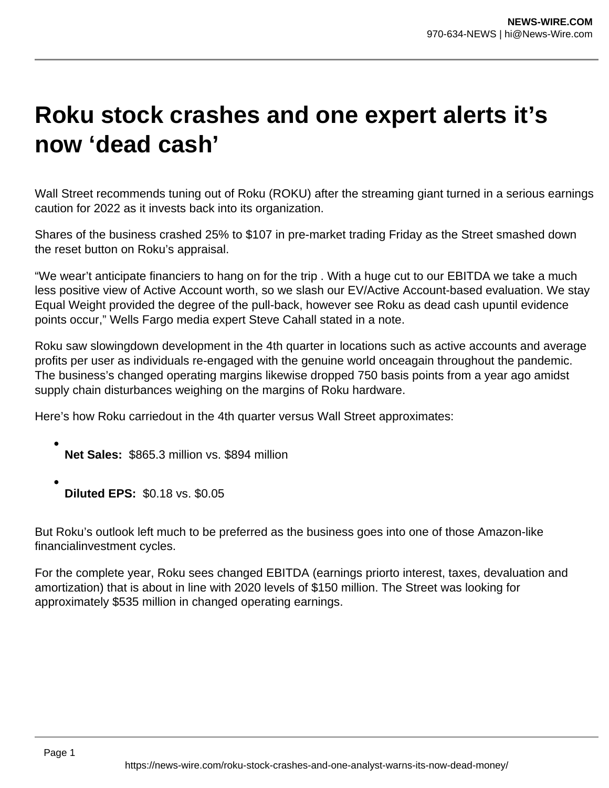## **Roku stock crashes and one expert alerts it's now 'dead cash'**

Wall Street recommends tuning out of Roku (ROKU) after the streaming giant turned in a serious earnings caution for 2022 as it invests back into its organization.

Shares of the business crashed 25% to \$107 in pre-market trading Friday as the Street smashed down the reset button on Roku's appraisal.

"We wear't anticipate financiers to hang on for the trip . With a huge cut to our EBITDA we take a much less positive view of Active Account worth, so we slash our EV/Active Account-based evaluation. We stay Equal Weight provided the degree of the pull-back, however see Roku as dead cash upuntil evidence points occur," Wells Fargo media expert Steve Cahall stated in a note.

Roku saw slowingdown development in the 4th quarter in locations such as active accounts and average profits per user as individuals re-engaged with the genuine world onceagain throughout the pandemic. The business's changed operating margins likewise dropped 750 basis points from a year ago amidst supply chain disturbances weighing on the margins of Roku hardware.

Here's how Roku carriedout in the 4th quarter versus Wall Street approximates:

- **Net Sales:** \$865.3 million vs. \$894 million
- **Diluted EPS:** \$0.18 vs. \$0.05

But Roku's outlook left much to be preferred as the business goes into one of those Amazon-like financialinvestment cycles.

For the complete year, Roku sees changed EBITDA (earnings priorto interest, taxes, devaluation and amortization) that is about in line with 2020 levels of \$150 million. The Street was looking for approximately \$535 million in changed operating earnings.